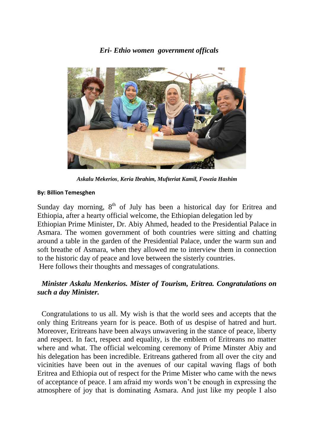#### *Eri- Ethio women government officals*



*Askalu Mekerios*, *Keria Ibrahim, Mufteriat Kamil, Fowzia Hashim*

#### **By: Billion Temesghen**

Sunday day morning,  $8<sup>th</sup>$  of July has been a historical day for Eritrea and Ethiopia, after a hearty official welcome, the Ethiopian delegation led by Ethiopian Prime Minister, Dr. Abiy Ahmed, headed to the Presidential Palace in Asmara. The women government of both countries were sitting and chatting around a table in the garden of the Presidential Palace, under the warm sun and soft breathe of Asmara, when they allowed me to interview them in connection to the historic day of peace and love between the sisterly countries. Here follows their thoughts and messages of congratulations.

#### *Minister Askalu Menkerios. Mister of Tourism, Eritrea. Congratulations on such a day Minister.*

Congratulations to us all. My wish is that the world sees and accepts that the only thing Eritreans yearn for is peace. Both of us despise of hatred and hurt. Moreover, Eritreans have been always unwavering in the stance of peace, liberty and respect. In fact, respect and equality, is the emblem of Eritreans no matter where and what. The official welcoming ceremony of Prime Minster Abiy and his delegation has been incredible. Eritreans gathered from all over the city and vicinities have been out in the avenues of our capital waving flags of both Eritrea and Ethiopia out of respect for the Prime Mister who came with the news of acceptance of peace. I am afraid my words won't be enough in expressing the atmosphere of joy that is dominating Asmara. And just like my people I also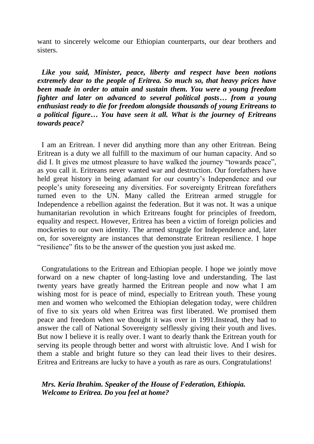want to sincerely welcome our Ethiopian counterparts, our dear brothers and sisters.

*Like you said, Minister, peace, liberty and respect have been notions extremely dear to the people of Eritrea. So much so, that heavy prices have been made in order to attain and sustain them. You were a young freedom fighter and later on advanced to several political posts… from a young enthusiast ready to die for freedom alongside thousands of young Eritreans to a political figure… You have seen it all. What is the journey of Eritreans towards peace?* 

I am an Eritrean. I never did anything more than any other Eritrean. Being Eritrean is a duty we all fulfill to the maximum of our human capacity. And so did I. It gives me utmost pleasure to have walked the journey "towards peace", as you call it. Eritreans never wanted war and destruction. Our forefathers have held great history in being adamant for our country's Independence and our people's unity foreseeing any diversities. For sovereignty Eritrean forefathers turned even to the UN. Many called the Eritrean armed struggle for Independence a rebellion against the federation. But it was not. It was a unique humanitarian revolution in which Eritreans fought for principles of freedom, equality and respect. However, Eritrea has been a victim of foreign policies and mockeries to our own identity. The armed struggle for Independence and, later on, for sovereignty are instances that demonstrate Eritrean resilience. I hope "resilience" fits to be the answer of the question you just asked me.

Congratulations to the Eritrean and Ethiopian people. I hope we jointly move forward on a new chapter of long-lasting love and understanding. The last twenty years have greatly harmed the Eritrean people and now what I am wishing most for is peace of mind, especially to Eritrean youth. These young men and women who welcomed the Ethiopian delegation today, were children of five to six years old when Eritrea was first liberated. We promised them peace and freedom when we thought it was over in 1991.Instead, they had to answer the call of National Sovereignty selflessly giving their youth and lives. But now I believe it is really over. I want to dearly thank the Eritrean youth for serving its people through better and worst with altruistic love. And I wish for them a stable and bright future so they can lead their lives to their desires. Eritrea and Eritreans are lucky to have a youth as rare as ours. Congratulations!

#### *Mrs. Keria Ibrahim. Speaker of the House of Federation, Ethiopia. Welcome to Eritrea. Do you feel at home?*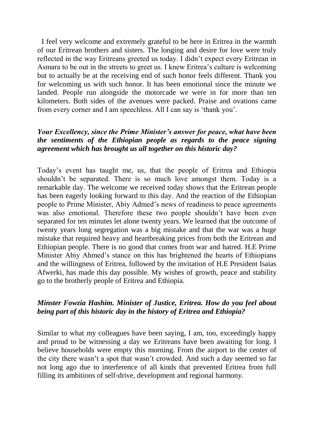I feel very welcome and extremely grateful to be here in Eritrea in the warmth of our Eritrean brothers and sisters. The longing and desire for love were truly reflected in the way Eritreans greeted us today. I didn't expect every Eritrean in Asmara to be out in the streets to greet us. I knew Eritrea's culture is welcoming but to actually be at the receiving end of such honor feels different. Thank you for welcoming us with such honor. It has been emotional since the minute we landed. People run alongside the motorcade we were in for more than ten kilometers. Both sides of the avenues were packed. Praise and ovations came from every corner and I am speechless. All I can say is 'thank you'.

#### *Your Excellency, since the Prime Minister's answer for peace, what have been the sentiments of the Ethiopian people as regards to the peace signing agreement which has brought us all together on this historic day?*

Today's event has taught me, us, that the people of Eritrea and Ethiopia shouldn't be separated. There is so much love amongst them. Today is a remarkable day. The welcome we received today shows that the Eritrean people has been eagerly looking forward to this day. And the reaction of the Ethiopian people to Prime Minister, Abiy Admed's news of readiness to peace agreements was also emotional. Therefore these two people shouldn't have been even separated for ten minutes let alone twenty years. We learned that the outcome of twenty years long segregation was a big mistake and that the war was a huge mistake that required heavy and heartbreaking prices from both the Eritrean and Ethiopian people. There is no good that comes from war and hatred. H.E Prime Minister Abiy Ahmed's stance on this has brightened the hearts of Ethiopians and the willingness of Eritrea, followed by the invitation of H.E President Isaias Afwerki, has made this day possible. My wishes of growth, peace and stability go to the brotherly people of Eritrea and Ethiopia.

### *Minster Fowzia Hashim. Minister of Justice, Eritrea. How do you feel about being part of this historic day in the history of Eritrea and Ethiopia?*

Similar to what my colleagues have been saying, I am, too, exceedingly happy and proud to be witnessing a day we Eritreans have been awaiting for long. I believe households were empty this morning. From the airport to the center of the city there wasn't a spot that wasn't crowded. And such a day seemed so far not long ago due to interference of all kinds that prevented Eritrea from full filling its ambitions of self-drive, development and regional harmony.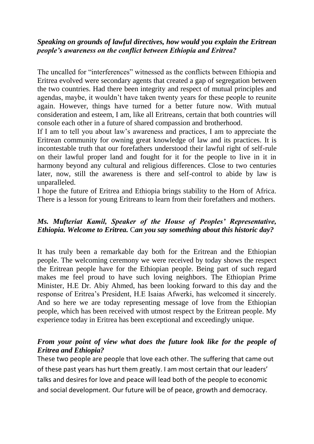### *Speaking on grounds of lawful directives, how would you explain the Eritrean people's awareness on the conflict between Ethiopia and Eritrea?*

The uncalled for "interferences" witnessed as the conflicts between Ethiopia and Eritrea evolved were secondary agents that created a gap of segregation between the two countries. Had there been integrity and respect of mutual principles and agendas, maybe, it wouldn't have taken twenty years for these people to reunite again. However, things have turned for a better future now. With mutual consideration and esteem, I am, like all Eritreans, certain that both countries will console each other in a future of shared compassion and brotherhood.

If I am to tell you about law's awareness and practices, I am to appreciate the Eritrean community for owning great knowledge of law and its practices. It is incontestable truth that our forefathers understood their lawful right of self-rule on their lawful proper land and fought for it for the people to live in it in harmony beyond any cultural and religious differences. Close to two centuries later, now, still the awareness is there and self-control to abide by law is unparalleled.

I hope the future of Eritrea and Ethiopia brings stability to the Horn of Africa. There is a lesson for young Eritreans to learn from their forefathers and mothers.

# *Ms. Mufteriat Kamil, Speaker of the House of Peoples' Representative, Ethiopia. Welcome to Eritrea.* C*an you say something about this historic day?*

It has truly been a remarkable day both for the Eritrean and the Ethiopian people. The welcoming ceremony we were received by today shows the respect the Eritrean people have for the Ethiopian people. Being part of such regard makes me feel proud to have such loving neighbors. The Ethiopian Prime Minister, H.E Dr. Abiy Ahmed, has been looking forward to this day and the response of Eritrea's President, H.E Isaias Afwerki, has welcomed it sincerely. And so here we are today representing message of love from the Ethiopian people, which has been received with utmost respect by the Eritrean people. My experience today in Eritrea has been exceptional and exceedingly unique.

# *From your point of view what does the future look like for the people of Eritrea and Ethiopia?*

These two people are people that love each other. The suffering that came out of these past years has hurt them greatly. I am most certain that our leaders' talks and desires for love and peace will lead both of the people to economic and social development. Our future will be of peace, growth and democracy.